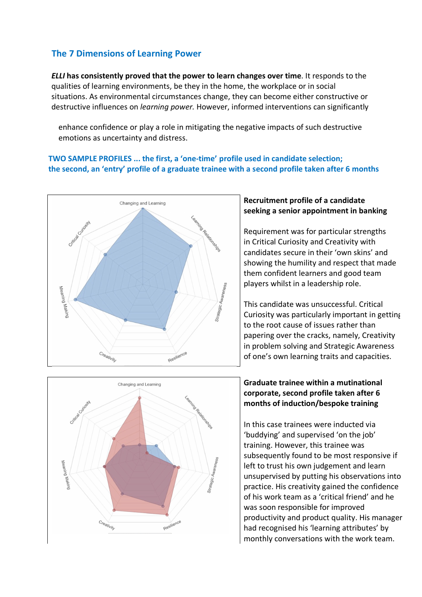# **The 7 Dimensions of Learning Power**

*ELLI* **has consistently proved that the power to learn changes over time**. It responds to the qualities of learning environments, be they in the home, the workplace or in social situations. As environmental circumstances change, they can become either constructive or destructive influences on *learning power.* However, informed interventions can significantly

enhance confidence or play a role in mitigating the negative impacts of such destructive emotions as uncertainty and distress.

#### **TWO SAMPLE PROFILES ... the first, a 'one-time' profile used in candidate selection; the second, an 'entry' profile of a graduate trainee with a second profile taken after 6 months**



## **Recruitment profile of a candidate seeking a senior appointment in banking**

Requirement was for particular strengths in Critical Curiosity and Creativity with candidates secure in their 'own skins' and showing the humility and respect that made them confident learners and good team players whilst in a leadership role.

This candidate was unsuccessful. Critical Curiosity was particularly important in getting to the root cause of issues rather than papering over the cracks, namely, Creativity in problem solving and Strategic Awareness of one's own learning traits and capacities.



### **Graduate trainee within a mutinational corporate, second profile taken after 6 months of induction/bespoke training**

In this case trainees were inducted via 'buddying' and supervised 'on the job' training. However, this trainee was subsequently found to be most responsive if left to trust his own judgement and learn unsupervised by putting his observations into practice. His creativity gained the confidence of his work team as a 'critical friend' and he was soon responsible for improved productivity and product quality. His manager had recognised his 'learning attributes' by monthly conversations with the work team.